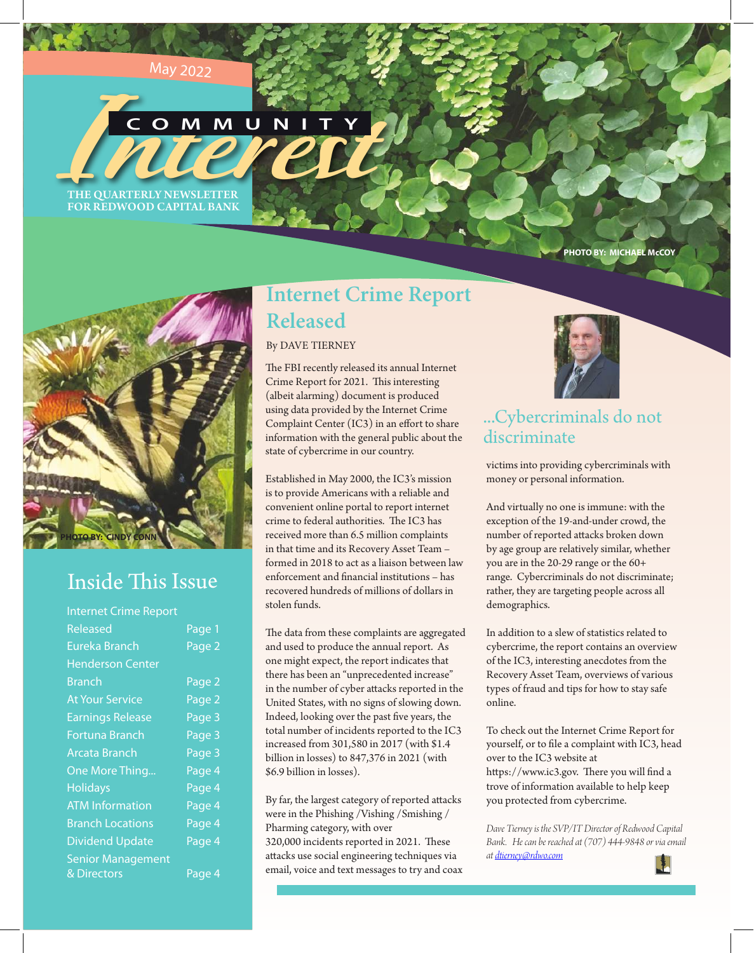## May <sup>2</sup>02<sup>2</sup>

**THE QUARTERLY NEWSLETTER** THE QUARTERLY NEWSLETTER **COMMUNITY**

FOR REDWOOD CAPITAL BANK

**PHOTO BY: MICHAEL McCOY**



# Inside This Issue

| <b>Internet Crime Report</b> |                   |
|------------------------------|-------------------|
| Released                     | Page <sub>1</sub> |
| Eureka Branch                | Page 2            |
| <b>Henderson Center</b>      |                   |
| Branch                       | Page 2            |
| <b>At Your Service</b>       | Page 2            |
| <b>Earnings Release</b>      | Page 3            |
| <b>Fortuna Branch</b>        | Page 3            |
| <b>Arcata Branch</b>         | Page 3            |
| One More Thing               | Page 4            |
| <b>Holidays</b>              | Page 4            |
| <b>ATM</b> Information       | Page 4            |
| <b>Branch Locations</b>      | Page 4            |
| <b>Dividend Update</b>       | Page 4            |
| <b>Senior Management</b>     |                   |
| & Directors                  | Page 4            |

# **Internet Crime Report Released**

## By DAVE TIERNEY

The FBI recently released its annual Internet Crime Report for 2021. This interesting (albeit alarming) document is produced using data provided by the Internet Crime Complaint Center (IC3) in an effort to share information with the general public about the state of cybercrime in our country.

Established in May 2000, the IC3's mission is to provide Americans with a reliable and convenient online portal to report internet crime to federal authorities. The IC3 has received more than 6.5 million complaints in that time and its Recovery Asset Team – formed in 2018 to act as a liaison between law enforcement and financial institutions – has recovered hundreds of millions of dollars in stolen funds.

The data from these complaints are aggregated and used to produce the annual report. As one might expect, the report indicates that there has been an "unprecedented increase" in the number of cyber attacks reported in the United States, with no signs of slowing down. Indeed, looking over the past five years, the total number of incidents reported to the IC3 increased from 301,580 in 2017 (with \$1.4 billion in losses) to 847,376 in 2021 (with \$6.9 billion in losses).

By far, the largest category of reported attacks were in the Phishing /Vishing /Smishing / Pharming category, with over 320,000 incidents reported in 2021. These attacks use social engineering techniques via email, voice and text messages to try and coax



## ...Cybercriminals do not discriminate

victims into providing cybercriminals with money or personal information.

And virtually no one is immune: with the exception of the 19-and-under crowd, the number of reported attacks broken down by age group are relatively similar, whether you are in the 20-29 range or the 60+ range. Cybercriminals do not discriminate; rather, they are targeting people across all demographics.

In addition to a slew of statistics related to cybercrime, the report contains an overview of the IC3, interesting anecdotes from the Recovery Asset Team, overviews of various types of fraud and tips for how to stay safe online.

To check out the Internet Crime Report for yourself, or to file a complaint with IC3, head over to the IC3 website at https://www.ic3.gov. There you will find a trove of information available to help keep you protected from cybercrime.

*Dave Tierney is the SVP/IT Director of Redwood Capital Bank. He can be reached at (707) 444-9848 or via email at dtierney@rdwo.com*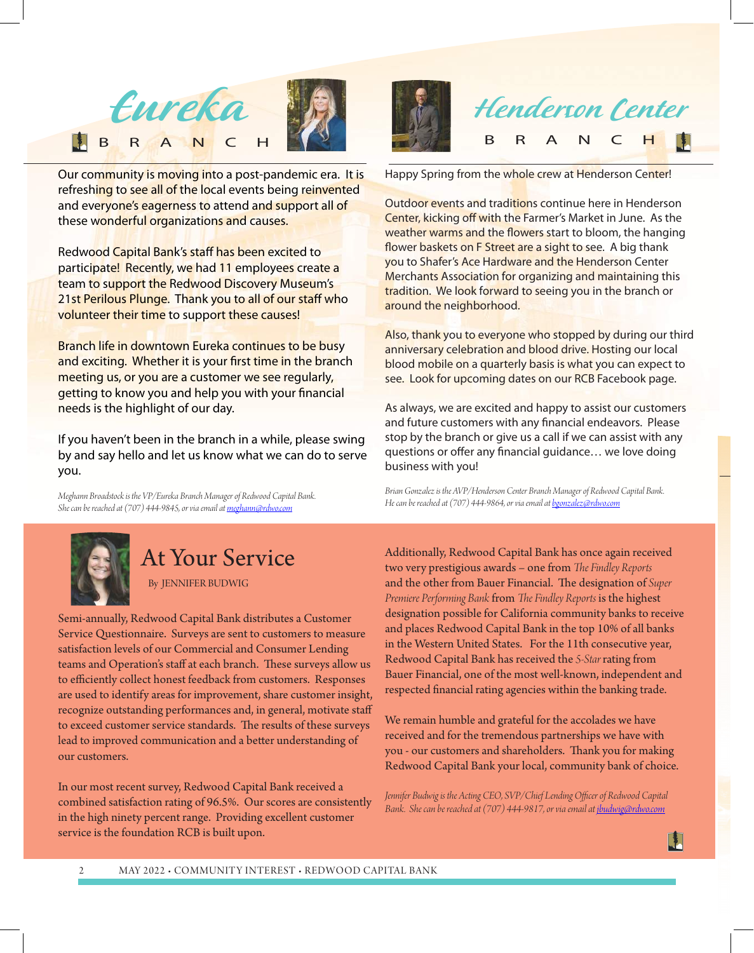

Our community is moving into a post-pandemic era. It is refreshing to see all of the local events being reinvented and everyone's eagerness to attend and support all of these wonderful organizations and causes.

Redwood Capital Bank's staff has been excited to participate! Recently, we had 11 employees create a team to support the Redwood Discovery Museum's 21st Perilous Plunge. Thank you to all of our staff who volunteer their time to support these causes!

Branch life in downtown Eureka continues to be busy and exciting. Whether it is your first time in the branch meeting us, or you are a customer we see regularly, getting to know you and help you with your financial needs is the highlight of our day.

If you haven't been in the branch in a while, please swing by and say hello and let us know what we can do to serve you.

*Meghann Broadstock is the VP/Eureka Branch Manager of Redwood Capital Bank. She can be reached at (707) 444-9845, or via email atmeghann@rdwo.com*



# At Your Service

By JENNIFER BUDWIG

Semi-annually, Redwood Capital Bank distributes a Customer Service Questionnaire. Surveys are sent to customers to measure satisfaction levels of our Commercial and Consumer Lending teams and Operation's staff at each branch. These surveys allow us to efficiently collect honest feedback from customers. Responses are used to identify areas for improvement, share customer insight, recognize outstanding performances and, in general, motivate staff to exceed customer service standards. The results of these surveys lead to improved communication and a better understanding of our customers.

In our most recent survey, Redwood Capital Bank received a combined satisfaction rating of 96.5%. Our scores are consistently in the high ninety percent range. Providing excellent customer service is the foundation RCB is built upon.



Happy Spring from the whole crew at Henderson Center!

Outdoor events and traditions continue here in Henderson Center, kicking off with the Farmer's Market in June. As the weather warms and the flowers start to bloom, the hanging flower baskets on F Street are a sight to see. A big thank you to Shafer's Ace Hardware and the Henderson Center Merchants Association for organizing and maintaining this tradition. We look forward to seeing you in the branch or around the neighborhood.

Also, thank you to everyone who stopped by during our third anniversary celebration and blood drive. Hosting our local blood mobile on a quarterly basis is what you can expect to see. Look for upcoming dates on our RCB Facebook page.

As always, we are excited and happy to assist our customers and future customers with any financial endeavors. Please stop by the branch or give us a call if we can assist with any questions or offer any financial guidance… we love doing business with you!

*Brian Gonzalez is the AVP/Henderson Center Branch Manager of Redwood Capital Bank. He can be reached at (707) 444-9864, or via email atbgonzalez@rdwo.com*

Additionally, Redwood Capital Bank has once again received two very prestigious awards – one from *The Findley Reports* and the other from Bauer Financial. The designation of *Super Premiere Performing Bank* from *The Findley Reports* is the highest designation possible for California community banks to receive and places Redwood Capital Bank in the top 10% of all banks in the Western United States. For the 11th consecutive year, Redwood Capital Bank has received the *5-Star* rating from Bauer Financial, one of the most well-known, independent and respected financial rating agencies within the banking trade.

We remain humble and grateful for the accolades we have received and for the tremendous partnerships we have with you - our customers and shareholders. Thank you for making Redwood Capital Bank your local, community bank of choice.

Jennifer Budwig is the Acting CEO, SVP/Chief Lending Officer of Redwood Capital *Bank. She can be reached at (707) 444-9817, or via email at jbudwig@rdwo.com*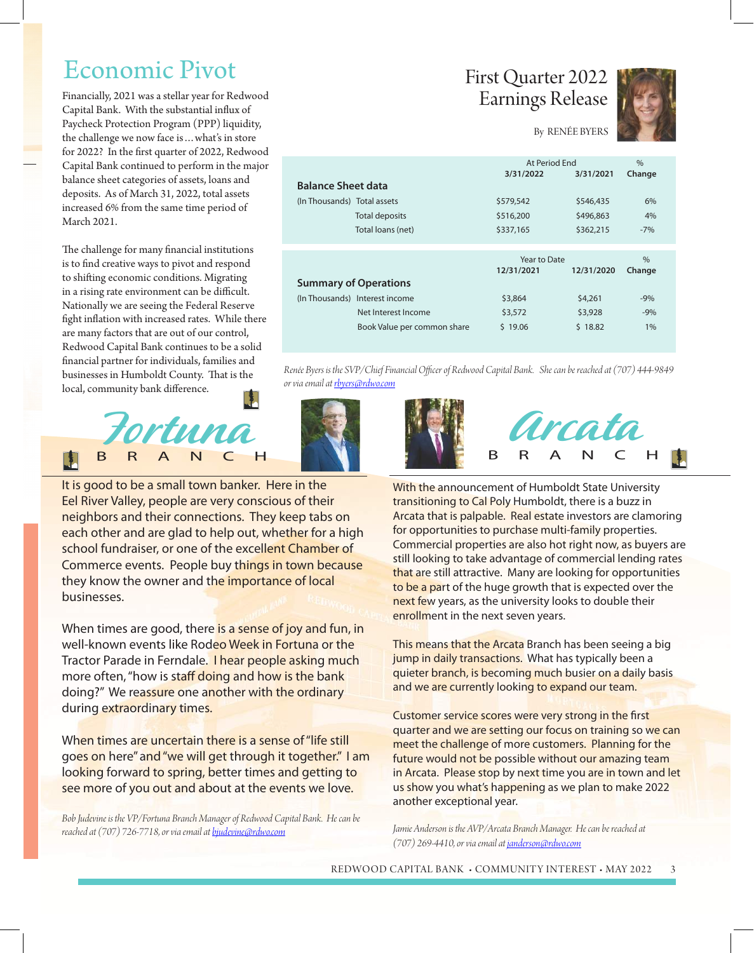# Economic Pivot

Financially, 2021 was a stellar year for Redwood Capital Bank. With the substantial influx of Paycheck Protection Program (PPP) liquidity, the challenge we now face is…what's in store for 2022? In the first quarter of 2022, Redwood Capital Bank continued to perform in the major balance sheet categories of assets, loans and deposits. As of March 31, 2022, total assets increased 6% from the same time period of March 2021.

The challenge for many financial institutions is to find creative ways to pivot and respond to shifting economic conditions. Migrating in a rising rate environment can be difficult. Nationally we are seeing the Federal Reserve fight inflation with increased rates. While there are many factors that are out of our control, Redwood Capital Bank continues to be a solid financial partner for individuals, families and businesses in Humboldt County. That is the local, community bank difference.



It is good to be a small town banker. Here in the Eel River Valley, people are very conscious of their neighbors and their connections. They keep tabs on each other and are glad to help out, whether for a high school fundraiser, or one of the excellent Chamber of Commerce events. People buy things in town because they know the owner and the importance of local businesses.

When times are good, there is a sense of joy and fun, in well-known events like Rodeo Week in Fortuna or the Tractor Parade in Ferndale. I hear people asking much more often, "how is staff doing and how is the bank doing?" We reassure one another with the ordinary during extraordinary times.

When times are uncertain there is a sense of "life still goes on here" and "we will get through it together." I am looking forward to spring, better times and getting to see more of you out and about at the events we love.

*Bob Judevine is the VP/Fortuna Branch Manager of Redwood Capital Bank. He can be reached at (707) 726-7718, or via email atbjudevine@rdwo.com*

# First Quarter 2022 Earnings Release



## By RENÉE BYERS

|                              |                                | At Period Fnd |            | $\frac{0}{0}$ |
|------------------------------|--------------------------------|---------------|------------|---------------|
|                              |                                | 3/31/2022     | 3/31/2021  | Change        |
| <b>Balance Sheet data</b>    |                                |               |            |               |
| (In Thousands) Total assets  |                                | \$579,542     | \$546,435  | 6%            |
|                              | <b>Total deposits</b>          | \$516,200     | \$496,863  | 4%            |
|                              | Total loans (net)              | \$337,165     | \$362,215  | $-7%$         |
|                              |                                |               |            |               |
|                              |                                | Year to Date  |            | $\frac{0}{0}$ |
|                              |                                | 12/31/2021    | 12/31/2020 | Change        |
| <b>Summary of Operations</b> |                                |               |            |               |
|                              | (In Thousands) Interest income | \$3,864       | \$4,261    | $-9%$         |
|                              | Net Interest Income            | \$3,572       | \$3,928    | $-9%$         |
|                              | Book Value per common share    | \$19.06       | \$18.82    | 1%            |

*Renée Byers is the SVP/Chief Financial Officer of Redwood Capital Bank. She can be reached at (707) 444-9849 or via email at rbyers@rdwo.com*







With the announcement of Humboldt State University transitioning to Cal Poly Humboldt, there is a buzz in Arcata that is palpable. Real estate investors are clamoring for opportunities to purchase multi-family properties. Commercial properties are also hot right now, as buyers are still looking to take advantage of commercial lending rates that are still attractive. Many are looking for opportunities to be a part of the huge growth that is expected over the next few years, as the university looks to double their enrollment in the next seven years.

This means that the Arcata Branch has been seeing a big jump in daily transactions. What has typically been a quieter branch, is becoming much busier on a daily basis and we are currently looking to expand our team.

Customer service scores were very strong in the first quarter and we are setting our focus on training so we can meet the challenge of more customers. Planning for the future would not be possible without our amazing team in Arcata. Please stop by next time you are in town and let us show you what's happening as we plan to make 2022 another exceptional year.

*Jamie Anderson is the AVP/Arcata Branch Manager. He can be reached at (707) 269-4410, or via email at janderson@rdwo.com*